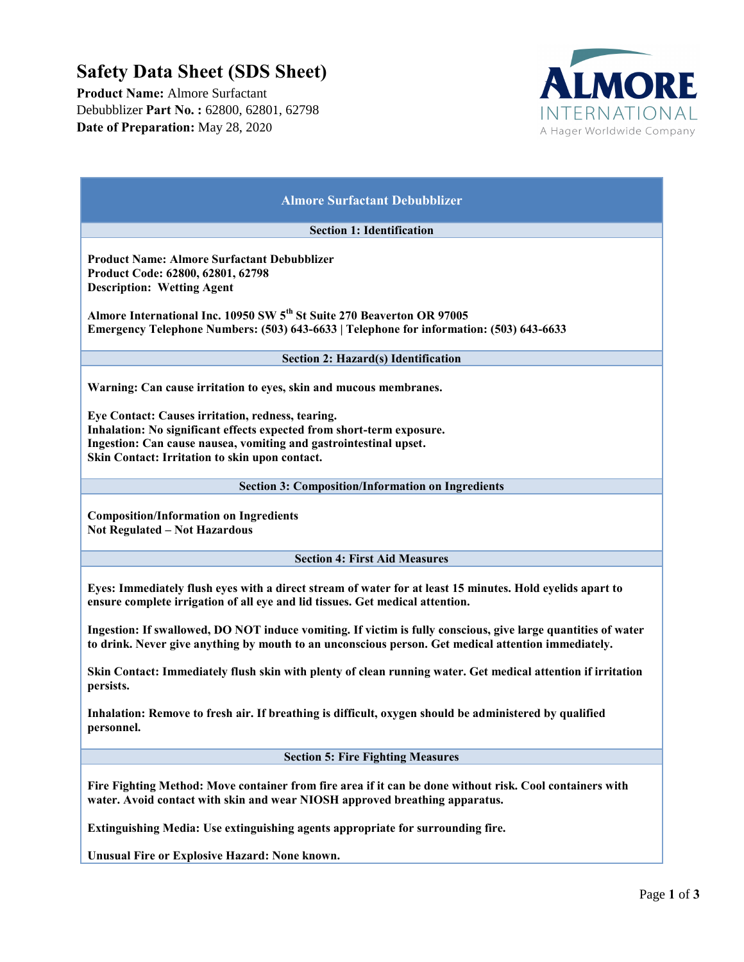## **Safety Data Sheet (SDS Sheet)**

**Product Name:** Almore Surfactant Debubblizer **Part No. :** 62800, 62801, 62798 **Date of Preparation:** May 28, 2020



| <b>Almore Surfactant Debubblizer</b>                                                                                                                                                                                                              |
|---------------------------------------------------------------------------------------------------------------------------------------------------------------------------------------------------------------------------------------------------|
| <b>Section 1: Identification</b>                                                                                                                                                                                                                  |
| <b>Product Name: Almore Surfactant Debubblizer</b><br>Product Code: 62800, 62801, 62798<br><b>Description: Wetting Agent</b>                                                                                                                      |
| Almore International Inc. 10950 SW 5 <sup>th</sup> St Suite 270 Beaverton OR 97005<br>Emergency Telephone Numbers: (503) 643-6633   Telephone for information: (503) 643-6633                                                                     |
| <b>Section 2: Hazard(s) Identification</b>                                                                                                                                                                                                        |
| Warning: Can cause irritation to eyes, skin and mucous membranes.                                                                                                                                                                                 |
| Eye Contact: Causes irritation, redness, tearing.<br>Inhalation: No significant effects expected from short-term exposure.<br>Ingestion: Can cause nausea, vomiting and gastrointestinal upset.<br>Skin Contact: Irritation to skin upon contact. |
| <b>Section 3: Composition/Information on Ingredients</b>                                                                                                                                                                                          |
| <b>Composition/Information on Ingredients</b><br>Not Regulated - Not Hazardous                                                                                                                                                                    |
| <b>Section 4: First Aid Measures</b>                                                                                                                                                                                                              |
| Eyes: Immediately flush eyes with a direct stream of water for at least 15 minutes. Hold eyelids apart to<br>ensure complete irrigation of all eye and lid tissues. Get medical attention.                                                        |
| Ingestion: If swallowed, DO NOT induce vomiting. If victim is fully conscious, give large quantities of water<br>to drink. Never give anything by mouth to an unconscious person. Get medical attention immediately.                              |
| Skin Contact: Immediately flush skin with plenty of clean running water. Get medical attention if irritation<br>persists.                                                                                                                         |
| Inhalation: Remove to fresh air. If breathing is difficult, oxygen should be administered by qualified<br>personnel.                                                                                                                              |
| <b>Section 5: Fire Fighting Measures</b>                                                                                                                                                                                                          |
| Fire Fighting Method: Move container from fire area if it can be done without risk. Cool containers with<br>water. Avoid contact with skin and wear NIOSH approved breathing apparatus.                                                           |
| Extinguishing Media: Use extinguishing agents appropriate for surrounding fire.                                                                                                                                                                   |
| Unusual Fire or Explosive Hazard: None known.                                                                                                                                                                                                     |
|                                                                                                                                                                                                                                                   |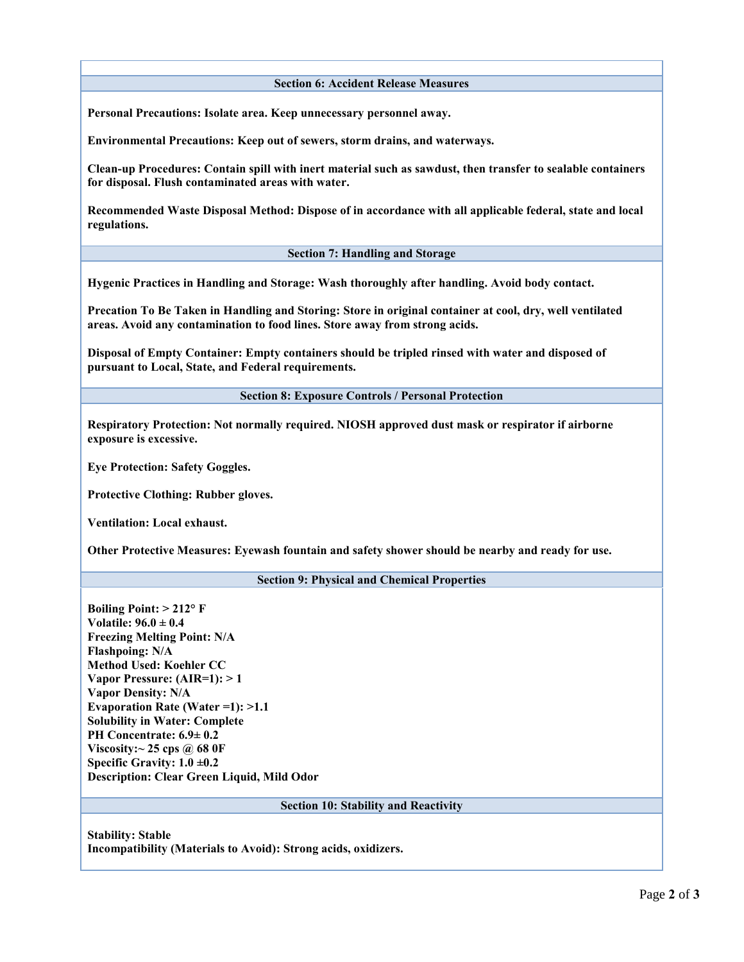**Section 6: Accident Release Measures**

**Personal Precautions: Isolate area. Keep unnecessary personnel away.** 

**Environmental Precautions: Keep out of sewers, storm drains, and waterways.** 

**Clean-up Procedures: Contain spill with inert material such as sawdust, then transfer to sealable containers for disposal. Flush contaminated areas with water.** 

**Recommended Waste Disposal Method: Dispose of in accordance with all applicable federal, state and local regulations.**

**Section 7: Handling and Storage**

**Hygenic Practices in Handling and Storage: Wash thoroughly after handling. Avoid body contact.**

**Precation To Be Taken in Handling and Storing: Store in original container at cool, dry, well ventilated areas. Avoid any contamination to food lines. Store away from strong acids.**

**Disposal of Empty Container: Empty containers should be tripled rinsed with water and disposed of pursuant to Local, State, and Federal requirements.**

**Section 8: Exposure Controls / Personal Protection**

**Respiratory Protection: Not normally required. NIOSH approved dust mask or respirator if airborne exposure is excessive.** 

**Eye Protection: Safety Goggles.** 

**Protective Clothing: Rubber gloves.** 

**Ventilation: Local exhaust.** 

**Other Protective Measures: Eyewash fountain and safety shower should be nearby and ready for use.**

**Section 9: Physical and Chemical Properties**

**Boiling Point: > 212° F Volatile: 96.0 ± 0.4 Freezing Melting Point: N/A Flashpoing: N/A Method Used: Koehler CC Vapor Pressure: (AIR=1): > 1 Vapor Density: N/A Evaporation Rate (Water =1): >1.1 Solubility in Water: Complete PH Concentrate: 6.9± 0.2 Viscosity:~ 25 cps @ 68 0F Specific Gravity: 1.0 ±0.2 Description: Clear Green Liquid, Mild Odor**

**Section 10: Stability and Reactivity**

**Stability: Stable Incompatibility (Materials to Avoid): Strong acids, oxidizers.**